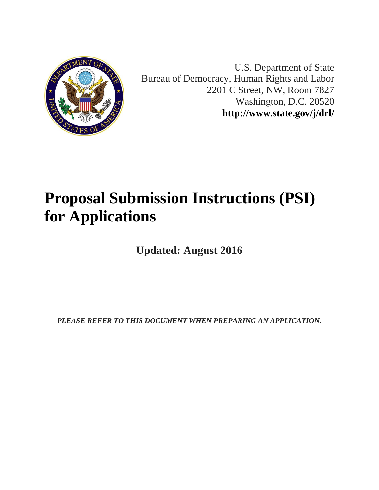

U.S. Department of State Bureau of Democracy, Human Rights and Labor 2201 C Street, NW, Room 7827 Washington, D.C. 20520 **<http://www.state.gov/j/drl/>**

# **Proposal Submission Instructions (PSI) for Applications**

**Updated: August 2016**

*PLEASE REFER TO THIS DOCUMENT WHEN PREPARING AN APPLICATION.*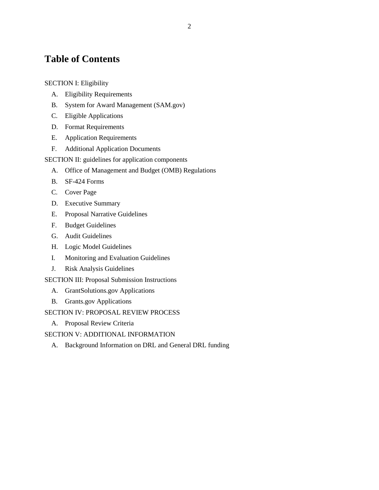# **Table of Contents**

#### [SECTION I: Eligibility](#page-2-0)

- A. [Eligibility Requirements](#page-2-1)
- B. [System for Award Management \(SAM.gov\)](#page-3-0)
- C. [Eligible Applications](#page-4-0)
- D. [Format Requirements](#page-5-0)
- E. [Application Requirements](#page-5-1)
- F. [Additional Application Documents](#page-6-0)
- [SECTION II: guidelines for application components](#page-8-0)
	- A. [Office of Management and Budget \(OMB\) Regulations](#page-8-1)
	- B. [SF-424 Forms](#page-8-2)
	- C. [Cover Page](#page-11-0)
	- D. [Executive Summary](#page-11-1)
	- E. [Proposal Narrative Guidelines](#page-11-2)
	- F. [Budget Guidelines](#page-12-0)
	- G. [Audit Guidelines](#page-18-0)
	- H. [Logic Model Guidelines](#page-19-0)
	- I. [Monitoring and Evaluation Guidelines](#page-21-0)
	- J. [Risk Analysis Guidelines](#page-25-0)
- [SECTION III: Proposal Submission Instructions](#page-26-0)
	- A. [GrantSolutions.gov Applications](#page-26-1)
	- B. [Grants.gov Applications](#page-27-0)
- [SECTION IV: PROPOSAL REVIEW PROCESS](#page-29-0)
	- A. [Proposal Review Criteria](#page-29-1)
- [SECTION V: ADDITIONAL INFORMATION](#page-33-0)
	- A. [Background Information on DRL and General DRL funding](#page-33-1)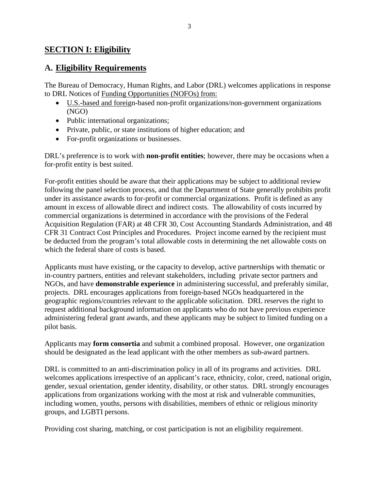### <span id="page-2-0"></span>**SECTION I: Eligibility**

### <span id="page-2-1"></span>**A. Eligibility Requirements**

The Bureau of Democracy, Human Rights, and Labor (DRL) welcomes applications in response to DRL Notices of Funding Opportunities (NOFOs) from:

- U.S.-based and foreign-based non-profit organizations/non-government organizations (NGO)
- Public international organizations;
- Private, public, or state institutions of higher education; and
- For-profit organizations or businesses.

DRL's preference is to work with **non-profit entities**; however, there may be occasions when a for-profit entity is best suited.

For-profit entities should be aware that their applications may be subject to additional review following the panel selection process, and that the Department of State generally prohibits profit under its assistance awards to for-profit or commercial organizations. Profit is defined as any amount in excess of allowable direct and indirect costs. The allowability of costs incurred by commercial organizations is determined in accordance with the provisions of the Federal Acquisition Regulation (FAR) at 48 CFR 30, Cost Accounting Standards Administration, and 48 CFR 31 Contract Cost Principles and Procedures. Project income earned by the recipient must be deducted from the program's total allowable costs in determining the net allowable costs on which the federal share of costs is based.

Applicants must have existing, or the capacity to develop, active partnerships with thematic or in-country partners, entities and relevant stakeholders, including private sector partners and NGOs, and have **demonstrable experience** in administering successful, and preferably similar, projects. DRL encourages applications from foreign-based NGOs headquartered in the geographic regions/countries relevant to the applicable solicitation. DRL reserves the right to request additional background information on applicants who do not have previous experience administering federal grant awards, and these applicants may be subject to limited funding on a pilot basis.

Applicants may **form consortia** and submit a combined proposal. However, one organization should be designated as the lead applicant with the other members as sub-award partners.

DRL is committed to an anti-discrimination policy in all of its programs and activities. DRL welcomes applications irrespective of an applicant's race, ethnicity, color, creed, national origin, gender, sexual orientation, gender identity, disability, or other status. DRL strongly encourages applications from organizations working with the most at risk and vulnerable communities, including women, youths, persons with disabilities, members of ethnic or religious minority groups, and LGBTI persons.

Providing cost sharing, matching, or cost participation is not an eligibility requirement.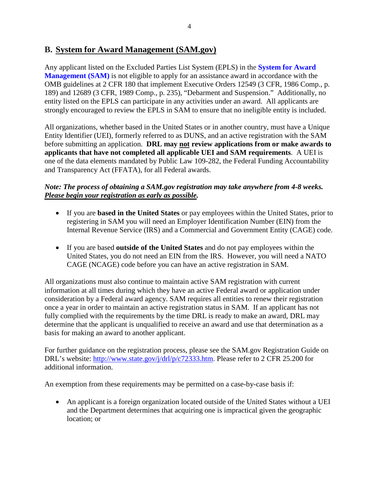### <span id="page-3-0"></span>**B. System for Award Management (SAM.gov)**

Any applicant listed on the Excluded Parties List System (EPLS) in the **[System for Award](https://www.sam.gov/)  [Management \(SAM\)](https://www.sam.gov/)** is not eligible to apply for an assistance award in accordance with the OMB guidelines at 2 CFR 180 that implement Executive Orders 12549 (3 CFR, 1986 Comp., p. 189) and 12689 (3 CFR, 1989 Comp., p. 235), "Debarment and Suspension." Additionally, no entity listed on the EPLS can participate in any activities under an award. All applicants are strongly encouraged to review the EPLS in SAM to ensure that no ineligible entity is included.

All organizations, whether based in the United States or in another country, must have a Unique Entity Identifier (UEI), formerly referred to as DUNS, and an active registration with the SAM before submitting an application. **DRL may not review applications from or make awards to applicants that have not completed all applicable UEI and SAM requirements**. A UEI is one of the data elements mandated by Public Law 109-282, the Federal Funding Accountability and Transparency Act (FFATA), for all Federal awards.

### *Note: The process of obtaining a SAM.gov registration may take anywhere from 4-8 weeks. Please begin your registration as early as possible.*

- If you are **based in the United States** or pay employees within the United States, prior to registering in SAM you will need an Employer Identification Number (EIN) from the Internal Revenue Service (IRS) and a Commercial and Government Entity (CAGE) code.
- If you are based **outside of the United States** and do not pay employees within the United States, you do not need an EIN from the IRS. However, you will need a NATO CAGE (NCAGE) code before you can have an active registration in SAM.

All organizations must also continue to maintain active SAM registration with current information at all times during which they have an active Federal award or application under consideration by a Federal award agency. SAM requires all entities to renew their registration once a year in order to maintain an active registration status in SAM. If an applicant has not fully complied with the requirements by the time DRL is ready to make an award, DRL may determine that the applicant is unqualified to receive an award and use that determination as a basis for making an award to another applicant.

For further guidance on the registration process, please see the SAM.gov Registration Guide on DRL's website: [http://www.state.gov/j/drl/p/c72333.htm.](http://www.state.gov/j/drl/p/c72333.htm) Please refer to 2 CFR 25.200 for additional information.

An exemption from these requirements may be permitted on a case-by-case basis if:

• An applicant is a foreign organization located outside of the United States without a UEI and the Department determines that acquiring one is impractical given the geographic location; or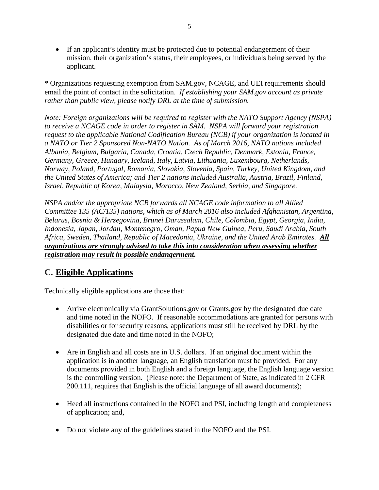• If an applicant's identity must be protected due to potential endangerment of their mission, their organization's status, their employees, or individuals being served by the applicant.

\* Organizations requesting exemption from SAM.gov, NCAGE, and UEI requirements should email the point of contact in the solicitation. *If establishing your SAM.gov account as private rather than public view, please notify DRL at the time of submission.* 

*Note: Foreign organizations will be required to register with the NATO Support Agency (NSPA) to receive a NCAGE code in order to register in SAM. NSPA will forward your registration request to the applicable National Codification Bureau (NCB) if your organization is located in a NATO or Tier 2 Sponsored Non-NATO Nation. As of March 2016, NATO nations included Albania, Belgium, Bulgaria, Canada, Croatia, Czech Republic, Denmark, Estonia, France, Germany, Greece, Hungary, Iceland, Italy, Latvia, Lithuania, Luxembourg, Netherlands, Norway, Poland, Portugal, Romania, Slovakia, Slovenia, Spain, Turkey, United Kingdom, and the United States of America; and Tier 2 nations included Australia, Austria, Brazil, Finland, Israel, Republic of Korea, Malaysia, Morocco, New Zealand, Serbia, and Singapore.* 

*NSPA and/or the appropriate NCB forwards all NCAGE code information to all Allied Committee 135 (AC/135) nations, which as of March 2016 also included Afghanistan, Argentina, Belarus, Bosnia & Herzegovina, Brunei Darussalam, Chile, Colombia, Egypt, Georgia, India, Indonesia, Japan, Jordan, Montenegro, Oman, Papua New Guinea, Peru, Saudi Arabia, South Africa, Sweden, Thailand, Republic of Macedonia, Ukraine, and the United Arab Emirates. All organizations are strongly advised to take this into consideration when assessing whether registration may result in possible endangerment.*

# <span id="page-4-0"></span>**C. Eligible Applications**

Technically eligible applications are those that:

- Arrive electronically via GrantSolutions.gov or Grants.gov by the designated due date and time noted in the NOFO. If reasonable accommodations are granted for persons with disabilities or for security reasons, applications must still be received by DRL by the designated due date and time noted in the NOFO;
- Are in English and all costs are in U.S. dollars. If an original document within the application is in another language, an English translation must be provided. For any documents provided in both English and a foreign language, the English language version is the controlling version. (Please note: the Department of State, as indicated in 2 CFR 200.111, requires that English is the official language of all award documents);
- Heed all instructions contained in the NOFO and PSI, including length and completeness of application; and,
- Do not violate any of the guidelines stated in the NOFO and the PSI.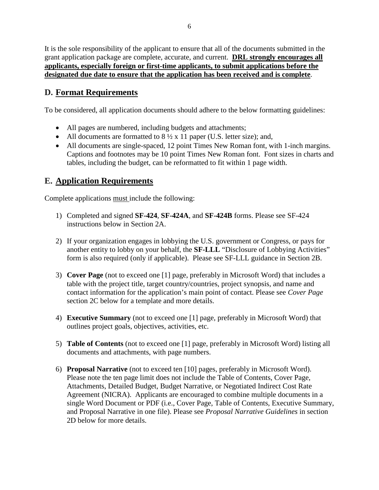It is the sole responsibility of the applicant to ensure that all of the documents submitted in the grant application package are complete, accurate, and current. **DRL strongly encourages all applicants, especially foreign or first-time applicants, to submit applications before the designated due date to ensure that the application has been received and is complete**.

### <span id="page-5-0"></span>**D. Format Requirements**

To be considered, all application documents should adhere to the below formatting guidelines:

- All pages are numbered, including budgets and attachments;
- All documents are formatted to  $8\frac{1}{2} \times 11$  paper (U.S. letter size); and,
- All documents are single-spaced, 12 point Times New Roman font, with 1-inch margins. Captions and footnotes may be 10 point Times New Roman font. Font sizes in charts and tables, including the budget, can be reformatted to fit within 1 page width.

### <span id="page-5-1"></span>**E. Application Requirements**

Complete applications must include the following:

- 1) Completed and signed **SF-424**, **SF-424A**, and **SF-424B** forms. Please see SF-424 instructions below in Section 2A.
- 2) If your organization engages in lobbying the U.S. government or Congress, or pays for another entity to lobby on your behalf, the **SF-LLL** "Disclosure of Lobbying Activities" form is also required (only if applicable). Please see SF-LLL guidance in Section 2B.
- 3) **Cover Page** (not to exceed one [1] page, preferably in Microsoft Word) that includes a table with the project title, target country/countries, project synopsis, and name and contact information for the application's main point of contact. Please see *Cover Page* section 2C below for a template and more details.
- 4) **Executive Summary** (not to exceed one [1] page, preferably in Microsoft Word) that outlines project goals, objectives, activities, etc.
- 5) **Table of Contents** (not to exceed one [1] page, preferably in Microsoft Word) listing all documents and attachments, with page numbers.
- 6) **Proposal Narrative** (not to exceed ten [10] pages, preferably in Microsoft Word). Please note the ten page limit does not include the Table of Contents, Cover Page, Attachments, Detailed Budget, Budget Narrative, or Negotiated Indirect Cost Rate Agreement (NICRA). Applicants are encouraged to combine multiple documents in a single Word Document or PDF (i.e., Cover Page, Table of Contents, Executive Summary, and Proposal Narrative in one file). Please see *Proposal Narrative Guidelines* in section 2D below for more details.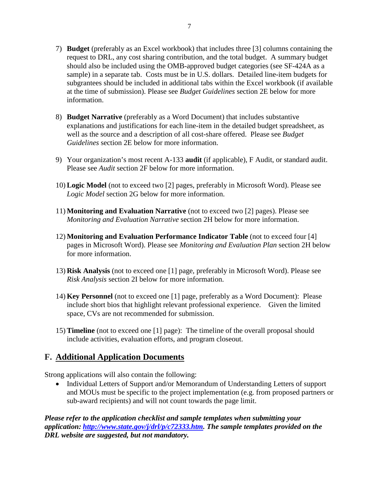- 7) **Budget** (preferably as an Excel workbook) that includes three [3] columns containing the request to DRL, any cost sharing contribution, and the total budget. A summary budget should also be included using the OMB-approved budget categories (see SF-424A as a sample) in a separate tab. Costs must be in U.S. dollars. Detailed line-item budgets for subgrantees should be included in additional tabs within the Excel workbook (if available at the time of submission). Please see *Budget Guidelines* section 2E below for more information.
- 8) **Budget Narrative** (preferably as a Word Document) that includes substantive explanations and justifications for each line-item in the detailed budget spreadsheet, as well as the source and a description of all cost-share offered. Please see *Budget Guidelines* section 2E below for more information.
- 9) Your organization's most recent A-133 **audit** (if applicable), F Audit, or standard audit. Please see *Audit* section 2F below for more information.
- 10) **Logic Model** (not to exceed two [2] pages, preferably in Microsoft Word). Please see *Logic Model* section 2G below for more information.
- 11) **Monitoring and Evaluation Narrative** (not to exceed two [2] pages). Please see *Monitoring and Evaluation Narrative* section 2H below for more information.
- 12) **Monitoring and Evaluation Performance Indicator Table** (not to exceed four [4] pages in Microsoft Word). Please see *Monitoring and Evaluation Plan* section 2H below for more information.
- 13) **Risk Analysis** (not to exceed one [1] page, preferably in Microsoft Word). Please see *Risk Analysis* section 2I below for more information.
- 14) **Key Personnel** (not to exceed one [1] page, preferably as a Word Document): Please include short bios that highlight relevant professional experience. Given the limited space, CVs are not recommended for submission.
- 15) **Timeline** (not to exceed one [1] page): The timeline of the overall proposal should include activities, evaluation efforts, and program closeout.

### <span id="page-6-0"></span>**F. Additional Application Documents**

Strong applications will also contain the following:

• Individual Letters of Support and/or Memorandum of Understanding Letters of support and MOUs must be specific to the project implementation (e.g. from proposed partners or sub-award recipients) and will not count towards the page limit.

*Please refer to the application checklist and sample templates when submitting your application: [http://www.state.gov/j/drl/p/c72333.htm.](http://www.state.gov/j/drl/p/c72333.htm) The sample templates provided on the DRL website are suggested, but not mandatory.*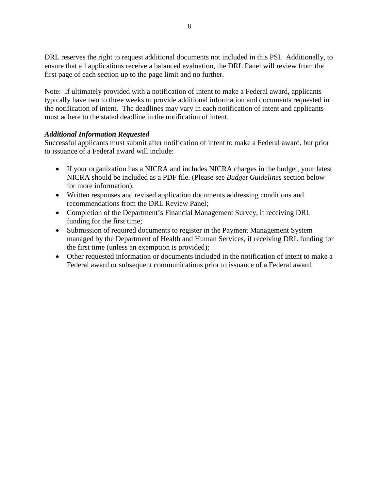DRL reserves the right to request additional documents not included in this PSI. Additionally, to ensure that all applications receive a balanced evaluation, the DRL Panel will review from the first page of each section up to the page limit and no further.

Note: If ultimately provided with a notification of intent to make a Federal award, applicants typically have two to three weeks to provide additional information and documents requested in the notification of intent. The deadlines may vary in each notification of intent and applicants must adhere to the stated deadline in the notification of intent.

#### *Additional Information Requested*

Successful applicants must submit after notification of intent to make a Federal award, but prior to issuance of a Federal award will include:

- If your organization has a NICRA and includes NICRA charges in the budget, your latest NICRA should be included as a PDF file. (Please see *Budget Guidelines* section below for more information).
- Written responses and revised application documents addressing conditions and recommendations from the DRL Review Panel;
- Completion of the Department's Financial Management Survey, if receiving DRL funding for the first time;
- Submission of required documents to register in the Payment Management System managed by the Department of Health and Human Services, if receiving DRL funding for the first time (unless an exemption is provided);
- Other requested information or documents included in the notification of intent to make a Federal award or subsequent communications prior to issuance of a Federal award.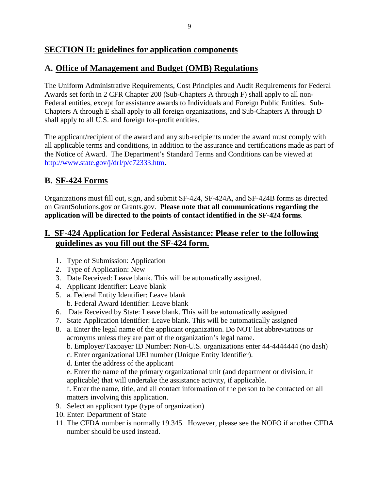### <span id="page-8-0"></span>**SECTION II: guidelines for application components**

### <span id="page-8-1"></span>**A. Office of Management and Budget (OMB) Regulations**

The Uniform Administrative Requirements, Cost Principles and Audit Requirements for Federal Awards set forth in 2 CFR Chapter 200 (Sub-Chapters A through F) shall apply to all non-Federal entities, except for assistance awards to Individuals and Foreign Public Entities. Sub-Chapters A through E shall apply to all foreign organizations, and Sub-Chapters A through D shall apply to all U.S. and foreign for-profit entities.

The applicant/recipient of the award and any sub-recipients under the award must comply with all applicable terms and conditions, in addition to the assurance and certifications made as part of the Notice of Award. The Department's Standard Terms and Conditions can be viewed at [http://www.state.gov/j/drl/p/c72333.htm.](http://www.state.gov/j/drl/p/c72333.htm)

### <span id="page-8-2"></span>**B. SF-424 Forms**

Organizations must fill out, sign, and submit SF-424, SF-424A, and SF-424B forms as directed on GrantSolutions.gov or Grants.gov. **Please note that all communications regarding the application will be directed to the points of contact identified in the SF-424 forms**.

### **I. SF-424 Application for Federal Assistance: Please refer to the following guidelines as you fill out the SF-424 form.**

- 1. Type of Submission: Application
- 2. Type of Application: New
- 3. Date Received: Leave blank. This will be automatically assigned.
- 4. Applicant Identifier: Leave blank
- 5. a. Federal Entity Identifier: Leave blank b. Federal Award Identifier: Leave blank
- 6. Date Received by State: Leave blank. This will be automatically assigned
- 7. State Application Identifier: Leave blank. This will be automatically assigned
- 8. a. Enter the legal name of the applicant organization. Do NOT list abbreviations or acronyms unless they are part of the organization's legal name.
	- b. Employer/Taxpayer ID Number: Non-U.S. organizations enter 44-4444444 (no dash)
	- c. Enter organizational UEI number (Unique Entity Identifier).
	- d. Enter the address of the applicant
	- e. Enter the name of the primary organizational unit (and department or division, if applicable) that will undertake the assistance activity, if applicable.

f. Enter the name, title, and all contact information of the person to be contacted on all matters involving this application.

- 9. Select an applicant type (type of organization)
- 10. Enter: Department of State
- 11. The CFDA number is normally 19.345. However, please see the NOFO if another CFDA number should be used instead.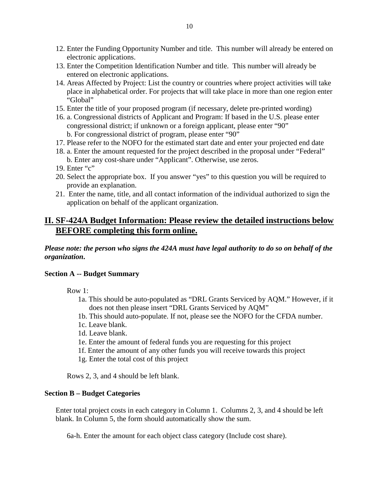- 12. Enter the Funding Opportunity Number and title. This number will already be entered on electronic applications.
- 13. Enter the Competition Identification Number and title. This number will already be entered on electronic applications.
- 14. Areas Affected by Project: List the country or countries where project activities will take place in alphabetical order. For projects that will take place in more than one region enter "Global"
- 15. Enter the title of your proposed program (if necessary, delete pre-printed wording)
- 16. a. Congressional districts of Applicant and Program: If based in the U.S. please enter congressional district; if unknown or a foreign applicant, please enter "90" b. For congressional district of program, please enter "90"
- 17. Please refer to the NOFO for the estimated start date and enter your projected end date
- 18. a. Enter the amount requested for the project described in the proposal under "Federal" b. Enter any cost-share under "Applicant". Otherwise, use zeros.
- 19. Enter "c"
- 20. Select the appropriate box. If you answer "yes" to this question you will be required to provide an explanation.
- 21. Enter the name, title, and all contact information of the individual authorized to sign the application on behalf of the applicant organization.

### **II. SF-424A Budget Information: Please review the detailed instructions below BEFORE completing this form online.**

*Please note: the person who signs the 424A must have legal authority to do so on behalf of the organization***.** 

#### **Section A -- Budget Summary**

Row 1:

- 1a. This should be auto-populated as "DRL Grants Serviced by AQM." However, if it does not then please insert "DRL Grants Serviced by AQM"
- 1b. This should auto-populate. If not, please see the NOFO for the CFDA number.
- 1c. Leave blank.
- 1d. Leave blank.
- 1e. Enter the amount of federal funds you are requesting for this project
- 1f. Enter the amount of any other funds you will receive towards this project
- 1g. Enter the total cost of this project

Rows 2, 3, and 4 should be left blank.

#### **Section B – Budget Categories**

Enter total project costs in each category in Column 1. Columns 2, 3, and 4 should be left blank. In Column 5, the form should automatically show the sum.

6a-h. Enter the amount for each object class category (Include cost share).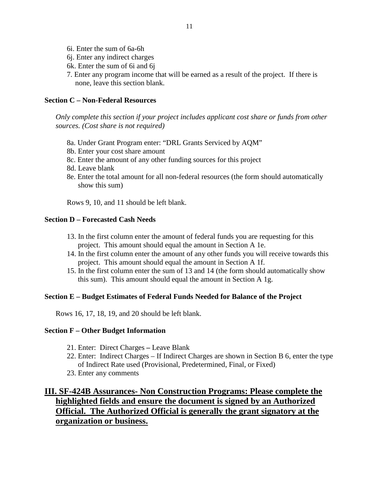- 6i. Enter the sum of 6a-6h
- 6j. Enter any indirect charges
- 6k. Enter the sum of 6i and 6j
- 7. Enter any program income that will be earned as a result of the project. If there is none, leave this section blank.

#### **Section C – Non-Federal Resources**

*Only complete this section if your project includes applicant cost share or funds from other sources. (Cost share is not required)* 

- 8a. Under Grant Program enter: "DRL Grants Serviced by AQM"
- 8b. Enter your cost share amount
- 8c. Enter the amount of any other funding sources for this project
- 8d. Leave blank
- 8e. Enter the total amount for all non-federal resources (the form should automatically show this sum)

Rows 9, 10, and 11 should be left blank.

#### **Section D – Forecasted Cash Needs**

- 13. In the first column enter the amount of federal funds you are requesting for this project. This amount should equal the amount in Section A 1e.
- 14. In the first column enter the amount of any other funds you will receive towards this project. This amount should equal the amount in Section A 1f.
- 15. In the first column enter the sum of 13 and 14 (the form should automatically show this sum). This amount should equal the amount in Section A 1g.

#### **Section E – Budget Estimates of Federal Funds Needed for Balance of the Project**

Rows 16, 17, 18, 19, and 20 should be left blank.

#### **Section F – Other Budget Information**

- 21. Enter: Direct Charges **–** Leave Blank
- 22. Enter: Indirect Charges If Indirect Charges are shown in Section B 6, enter the type of Indirect Rate used (Provisional, Predetermined, Final, or Fixed)
- 23. Enter any comments

### **III. SF-424B Assurances- Non Construction Programs: Please complete the highlighted fields and ensure the document is signed by an Authorized Official. The Authorized Official is generally the grant signatory at the organization or business.**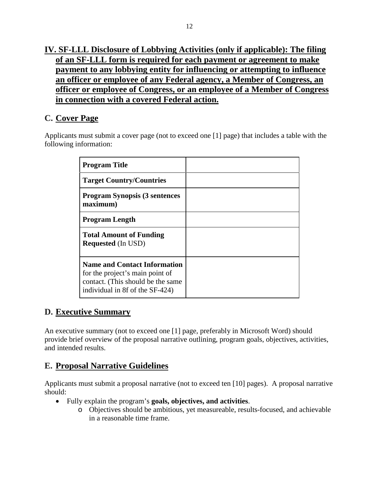# **IV. SF-LLL Disclosure of Lobbying Activities (only if applicable): The filing of an SF-LLL form is required for each payment or agreement to make payment to any lobbying entity for influencing or attempting to influence an officer or employee of any Federal agency, a Member of Congress, an officer or employee of Congress, or an employee of a Member of Congress in connection with a covered Federal action.**

# <span id="page-11-0"></span>**C. Cover Page**

Applicants must submit a cover page (not to exceed one [1] page) that includes a table with the following information:

| <b>Program Title</b>                                                                                                                           |  |
|------------------------------------------------------------------------------------------------------------------------------------------------|--|
| <b>Target Country/Countries</b>                                                                                                                |  |
| <b>Program Synopsis (3 sentences</b><br>maximum)                                                                                               |  |
| <b>Program Length</b>                                                                                                                          |  |
| <b>Total Amount of Funding</b><br><b>Requested</b> (In USD)                                                                                    |  |
| <b>Name and Contact Information</b><br>for the project's main point of<br>contact. (This should be the same<br>individual in 8f of the SF-424) |  |

# <span id="page-11-1"></span>**D. Executive Summary**

An executive summary (not to exceed one [1] page, preferably in Microsoft Word) should provide brief overview of the proposal narrative outlining, program goals, objectives, activities, and intended results.

# <span id="page-11-2"></span>**E. Proposal Narrative Guidelines**

Applicants must submit a proposal narrative (not to exceed ten [10] pages). A proposal narrative should:

- Fully explain the program's **goals, objectives, and activities**.
	- o Objectives should be ambitious, yet measureable, results-focused, and achievable in a reasonable time frame.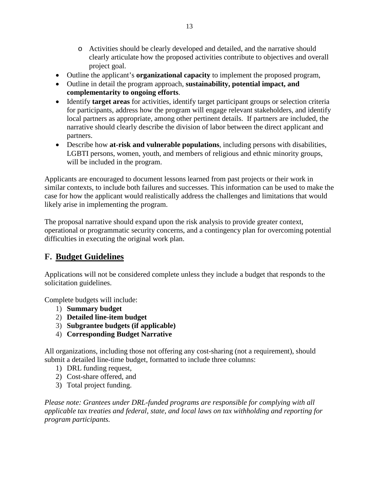- o Activities should be clearly developed and detailed, and the narrative should clearly articulate how the proposed activities contribute to objectives and overall project goal.
- Outline the applicant's **organizational capacity** to implement the proposed program,
- Outline in detail the program approach, **sustainability, potential impact, and complementarity to ongoing efforts**.
- Identify **target areas** for activities, identify target participant groups or selection criteria for participants, address how the program will engage relevant stakeholders, and identify local partners as appropriate, among other pertinent details. If partners are included, the narrative should clearly describe the division of labor between the direct applicant and partners.
- Describe how **at-risk and vulnerable populations**, including persons with disabilities, LGBTI persons, women, youth, and members of religious and ethnic minority groups, will be included in the program.

Applicants are encouraged to document lessons learned from past projects or their work in similar contexts, to include both failures and successes. This information can be used to make the case for how the applicant would realistically address the challenges and limitations that would likely arise in implementing the program.

The proposal narrative should expand upon the risk analysis to provide greater context, operational or programmatic security concerns, and a contingency plan for overcoming potential difficulties in executing the original work plan.

# <span id="page-12-0"></span>**F. Budget Guidelines**

Applications will not be considered complete unless they include a budget that responds to the solicitation guidelines.

Complete budgets will include:

- 1) **Summary budget**
- 2) **Detailed line-item budget**
- 3) **Subgrantee budgets (if applicable)**
- 4) **Corresponding Budget Narrative**

All organizations, including those not offering any cost-sharing (not a requirement), should submit a detailed line-time budget, formatted to include three columns:

- 1) DRL funding request,
- 2) Cost-share offered, and
- 3) Total project funding.

*Please note: Grantees under DRL-funded programs are responsible for complying with all applicable tax treaties and federal, state, and local laws on tax withholding and reporting for program participants.*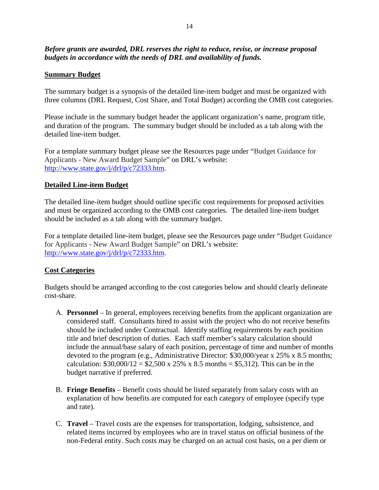#### *Before grants are awarded, DRL reserves the right to reduce, revise, or increase proposal budgets in accordance with the needs of DRL and availability of funds.*

#### **Summary Budget**

The summary budget is a synopsis of the detailed line-item budget and must be organized with three columns (DRL Request, Cost Share, and Total Budget) according the OMB cost categories.

Please include in the summary budget header the applicant organization's name, program title, and duration of the program. The summary budget should be included as a tab along with the detailed line-item budget.

For a template summary budget please see the Resources page under "Budget Guidance for Applicants - New Award Budget Sample" on DRL's website: [http://www.state.gov/j/drl/p/c72333.htm.](http://www.state.gov/j/drl/p/c72333.htm)

#### **Detailed Line-item Budget**

The detailed line-item budget should outline specific cost requirements for proposed activities and must be organized according to the OMB cost categories. The detailed line-item budget should be included as a tab along with the summary budget.

For a template detailed line-item budget, please see the Resources page under "Budget Guidance for Applicants - New Award Budget Sample" on DRL's website: [http://www.state.gov/j/drl/p/c72333.htm.](http://www.state.gov/j/drl/p/c72333.htm)

#### **Cost Categories**

Budgets should be arranged according to the cost categories below and should clearly delineate cost-share.

- A. **Personnel** In general, employees receiving benefits from the applicant organization are considered staff. Consultants hired to assist with the project who do not receive benefits should be included under Contractual. Identify staffing requirements by each position title and brief description of duties. Each staff member's salary calculation should include the annual/base salary of each position, percentage of time and number of months devoted to the program (e.g., Administrative Director: \$30,000/year x 25% x 8.5 months; calculation:  $$30,000/12 = $2,500 \times 25\% \times 8.5 \text{ months} = $5,312$ . This can be in the budget narrative if preferred.
- B. **Fringe Benefits** Benefit costs should be listed separately from salary costs with an explanation of how benefits are computed for each category of employee (specify type and rate).
- C. **Travel** Travel costs are the expenses for transportation, lodging, subsistence, and related items incurred by employees who are in travel status on official business of the non-Federal entity. Such costs may be charged on an actual cost basis, on a per diem or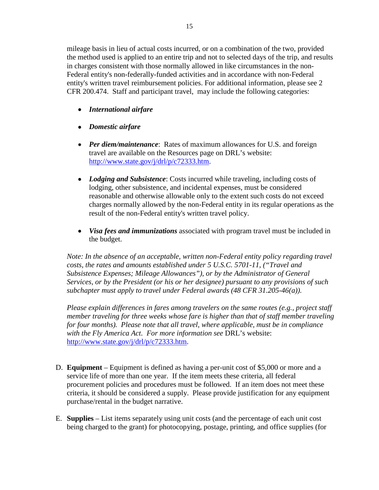mileage basis in lieu of actual costs incurred, or on a combination of the two, provided the method used is applied to an entire trip and not to selected days of the trip, and results in charges consistent with those normally allowed in like circumstances in the non-Federal entity's non-federally-funded activities and in accordance with non-Federal entity's written travel reimbursement policies. For additional information, please see 2 CFR 200.474. Staff and participant travel, may include the following categories:

- *International airfare*
- *Domestic airfare*
- *Per diem/maintenance*: Rates of maximum allowances for U.S. and foreign travel are available on the Resources page on DRL's website: [http://www.state.gov/j/drl/p/c72333.htm.](http://www.state.gov/j/drl/p/c72333.htm)
- *Lodging and Subsistence*: Costs incurred while traveling, including costs of lodging, other subsistence, and incidental expenses, must be considered reasonable and otherwise allowable only to the extent such costs do not exceed charges normally allowed by the non-Federal entity in its regular operations as the result of the non-Federal entity's written travel policy.
- *Visa fees and immunizations* associated with program travel must be included in the budget.

*Note: In the absence of an acceptable, written non-Federal entity policy regarding travel costs, the rates and amounts established under 5 U.S.C. 5701-11, ("Travel and Subsistence Expenses; Mileage Allowances"), or by the Administrator of General Services, or by the President (or his or her designee) pursuant to any provisions of such subchapter must apply to travel under Federal awards (48 CFR 31.205-46(a)).*

*Please explain differences in fares among travelers on the same routes (e.g., project staff member traveling for three weeks whose fare is higher than that of staff member traveling for four months). Please note that all travel, where applicable, must be in compliance with the Fly America Act. For more information see* DRL's website: [http://www.state.gov/j/drl/p/c72333.htm.](http://www.state.gov/j/drl/p/c72333.htm)

- D. **Equipment** Equipment is defined as having a per-unit cost of \$5,000 or more and a service life of more than one year. If the item meets these criteria, all federal procurement policies and procedures must be followed. If an item does not meet these criteria, it should be considered a supply. Please provide justification for any equipment purchase/rental in the budget narrative.
- E. **Supplies** List items separately using unit costs (and the percentage of each unit cost being charged to the grant) for photocopying, postage, printing, and office supplies (for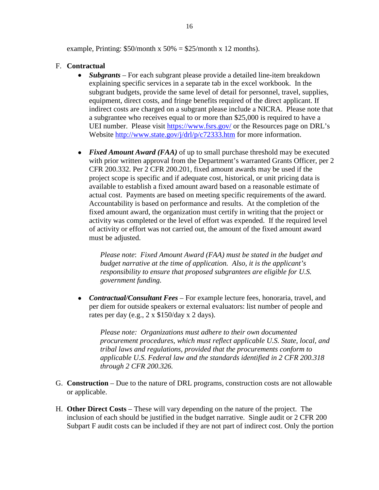example, Printing:  $$50/m$ onth x  $50\% = $25/m$ onth x 12 months).

#### F. **Contractual**

- *Subgrants* For each subgrant please provide a detailed line-item breakdown explaining specific services in a separate tab in the excel workbook. In the subgrant budgets, provide the same level of detail for personnel, travel, supplies, equipment, direct costs, and fringe benefits required of the direct applicant. If indirect costs are charged on a subgrant please include a NICRA. Please note that a subgrantee who receives equal to or more than \$25,000 is required to have a UEI number. Please visit<https://www.fsrs.gov/> or the Resources page on DRL's Website<http://www.state.gov/j/drl/p/c72333.htm> for more information.
- *Fixed Amount Award (FAA)* of up to small purchase threshold may be executed with prior written approval from the Department's warranted Grants Officer, per 2 CFR 200.332. Per 2 CFR 200.201, fixed amount awards may be used if the project scope is specific and if adequate cost, historical, or unit pricing data is available to establish a fixed amount award based on a reasonable estimate of actual cost. Payments are based on meeting specific requirements of the award. Accountability is based on performance and results. At the completion of the fixed amount award, the organization must certify in writing that the project or activity was completed or the level of effort was expended. If the required level of activity or effort was not carried out, the amount of the fixed amount award must be adjusted.

*Please note*: *Fixed Amount Award (FAA) must be stated in the budget and budget narrative at the time of application. Also, it is the applicant's responsibility to ensure that proposed subgrantees are eligible for U.S. government funding.*

• *Contractual/Consultant Fees* – For example lecture fees, honoraria, travel, and per diem for outside speakers or external evaluators: list number of people and rates per day (e.g., 2 x \$150/day x 2 days).

*Please note: Organizations must adhere to their own documented procurement procedures, which must reflect applicable U.S. State, local, and tribal laws and regulations, provided that the procurements conform to applicable U.S. Federal law and the standards identified in 2 CFR 200.318 through 2 CFR 200.326.*

- G. **Construction**  Due to the nature of DRL programs, construction costs are not allowable or applicable.
- H. **Other Direct Costs** These will vary depending on the nature of the project. The inclusion of each should be justified in the budget narrative. Single audit or 2 CFR 200 Subpart F audit costs can be included if they are not part of indirect cost. Only the portion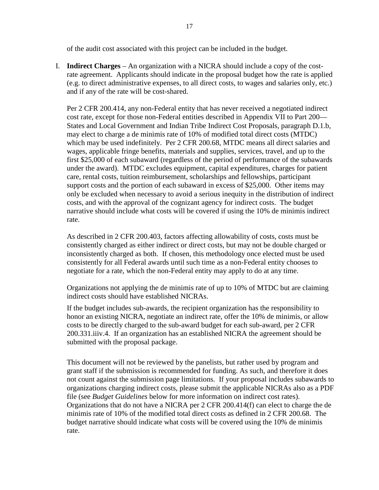of the audit cost associated with this project can be included in the budget.

I. **Indirect Charges** – An organization with a NICRA should include a copy of the costrate agreement. Applicants should indicate in the proposal budget how the rate is applied (e.g. to direct administrative expenses, to all direct costs, to wages and salaries only, etc.) and if any of the rate will be cost-shared.

Per 2 CFR 200.414, any non-Federal entity that has never received a negotiated indirect cost rate, except for those non-Federal entities described in Appendix VII to Part 200— States and Local Government and Indian Tribe Indirect Cost Proposals, paragraph D.1.b, may elect to charge a de minimis rate of 10% of modified total direct costs (MTDC) which may be used indefinitely. Per 2 CFR 200.68, MTDC means all direct salaries and wages, applicable fringe benefits, materials and supplies, services, travel, and up to the first \$25,000 of each subaward (regardless of the period of performance of the subawards under the award). MTDC excludes equipment, capital expenditures, charges for patient care, rental costs, tuition reimbursement, scholarships and fellowships, participant support costs and the portion of each subaward in excess of \$25,000. Other items may only be excluded when necessary to avoid a serious inequity in the distribution of indirect costs, and with the approval of the cognizant agency for indirect costs. The budget narrative should include what costs will be covered if using the 10% de minimis indirect rate.

As described in 2 CFR 200.403, factors affecting allowability of costs, costs must be consistently charged as either indirect or direct costs, but may not be double charged or inconsistently charged as both. If chosen, this methodology once elected must be used consistently for all Federal awards until such time as a non-Federal entity chooses to negotiate for a rate, which the non-Federal entity may apply to do at any time.

Organizations not applying the de minimis rate of up to 10% of MTDC but are claiming indirect costs should have established NICRAs.

If the budget includes sub-awards, the recipient organization has the responsibility to honor an existing NICRA, negotiate an indirect rate, offer the 10% de minimis, or allow costs to be directly charged to the sub-award budget for each sub-award, per 2 CFR 200.331.iiiv.4. If an organization has an established NICRA the agreement should be submitted with the proposal package.

This document will not be reviewed by the panelists, but rather used by program and grant staff if the submission is recommended for funding. As such, and therefore it does not count against the submission page limitations. If your proposal includes subawards to organizations charging indirect costs, please submit the applicable NICRAs also as a PDF file (see *Budget Guidelines* below for more information on indirect cost rates). Organizations that do not have a NICRA per 2 CFR 200.414(f) can elect to charge the de minimis rate of 10% of the modified total direct costs as defined in 2 CFR 200.68. The budget narrative should indicate what costs will be covered using the 10% de minimis rate.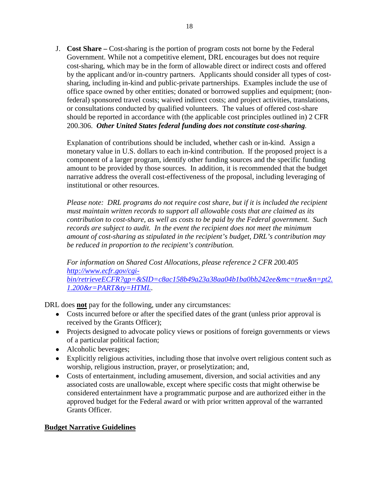J. **Cost Share –** Cost-sharing is the portion of program costs not borne by the Federal Government. While not a competitive element, DRL encourages but does not require cost-sharing, which may be in the form of allowable direct or indirect costs and offered by the applicant and/or in-country partners. Applicants should consider all types of costsharing, including in-kind and public-private partnerships. Examples include the use of office space owned by other entities; donated or borrowed supplies and equipment; (nonfederal) sponsored travel costs; waived indirect costs; and project activities, translations, or consultations conducted by qualified volunteers. The values of offered cost-share should be reported in accordance with (the applicable cost principles outlined in) 2 CFR 200.306. *Other United States federal funding does not constitute cost-sharing.*

Explanation of contributions should be included, whether cash or in-kind. Assign a monetary value in U.S. dollars to each in-kind contribution. If the proposed project is a component of a larger program, identify other funding sources and the specific funding amount to be provided by those sources. In addition, it is recommended that the budget narrative address the overall cost-effectiveness of the proposal, including leveraging of institutional or other resources.

*Please note: DRL programs do not require cost share, but if it is included the recipient must maintain written records to support all allowable costs that are claimed as its contribution to cost-share, as well as costs to be paid by the Federal government. Such records are subject to audit. In the event the recipient does not meet the minimum amount of cost-sharing as stipulated in the recipient's budget, DRL's contribution may be reduced in proportion to the recipient's contribution.*

*For information on Shared Cost Allocations, please reference 2 CFR 200.405 [http://www.ecfr.gov/cgi](http://www.ecfr.gov/cgi-bin/retrieveECFR?gp=&SID=c8ac158b49a23a38aa04b1ba0bb242ee&mc=true&n=pt2.1.200&r=PART&ty=HTML)[bin/retrieveECFR?gp=&SID=c8ac158b49a23a38aa04b1ba0bb242ee&mc=true&n=pt2.](http://www.ecfr.gov/cgi-bin/retrieveECFR?gp=&SID=c8ac158b49a23a38aa04b1ba0bb242ee&mc=true&n=pt2.1.200&r=PART&ty=HTML) [1.200&r=PART&ty=HTML](http://www.ecfr.gov/cgi-bin/retrieveECFR?gp=&SID=c8ac158b49a23a38aa04b1ba0bb242ee&mc=true&n=pt2.1.200&r=PART&ty=HTML)*.

DRL does **not** pay for the following, under any circumstances:

- Costs incurred before or after the specified dates of the grant (unless prior approval is received by the Grants Officer);
- Projects designed to advocate policy views or positions of foreign governments or views of a particular political faction;
- Alcoholic beverages;
- Explicitly religious activities, including those that involve overt religious content such as worship, religious instruction, prayer, or proselytization; and,
- Costs of entertainment, including amusement, diversion, and social activities and any associated costs are unallowable, except where specific costs that might otherwise be considered entertainment have a programmatic purpose and are authorized either in the approved budget for the Federal award or with prior written approval of the warranted Grants Officer.

### **Budget Narrative Guidelines**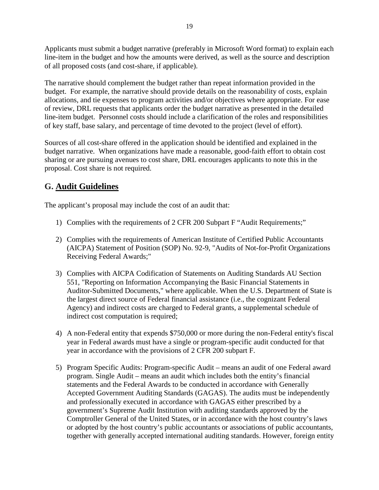Applicants must submit a budget narrative (preferably in Microsoft Word format) to explain each line-item in the budget and how the amounts were derived, as well as the source and description of all proposed costs (and cost-share, if applicable).

The narrative should complement the budget rather than repeat information provided in the budget. For example, the narrative should provide details on the reasonability of costs, explain allocations, and tie expenses to program activities and/or objectives where appropriate. For ease of review, DRL requests that applicants order the budget narrative as presented in the detailed line-item budget. Personnel costs should include a clarification of the roles and responsibilities of key staff, base salary, and percentage of time devoted to the project (level of effort).

Sources of all cost-share offered in the application should be identified and explained in the budget narrative. When organizations have made a reasonable, good-faith effort to obtain cost sharing or are pursuing avenues to cost share, DRL encourages applicants to note this in the proposal. Cost share is not required.

# <span id="page-18-0"></span>**G. Audit Guidelines**

The applicant's proposal may include the cost of an audit that:

- 1) Complies with the requirements of 2 CFR 200 Subpart F "Audit Requirements;"
- 2) Complies with the requirements of American Institute of Certified Public Accountants (AICPA) Statement of Position (SOP) No. 92-9, "Audits of Not-for-Profit Organizations Receiving Federal Awards;"
- 3) Complies with AICPA Codification of Statements on Auditing Standards AU Section 551, "Reporting on Information Accompanying the Basic Financial Statements in Auditor-Submitted Documents," where applicable. When the U.S. Department of State is the largest direct source of Federal financial assistance (i.e., the cognizant Federal Agency) and indirect costs are charged to Federal grants, a supplemental schedule of indirect cost computation is required;
- 4) A non-Federal entity that expends \$750,000 or more during the non-Federal entity's fiscal year in Federal awards must have a single or program-specific audit conducted for that year in accordance with the provisions of 2 CFR 200 subpart F.
- 5) Program Specific Audits: Program-specific Audit means an audit of one Federal award program. Single Audit – means an audit which includes both the entity's financial statements and the Federal Awards to be conducted in accordance with Generally Accepted Government Auditing Standards (GAGAS). The audits must be independently and professionally executed in accordance with GAGAS either prescribed by a government's Supreme Audit Institution with auditing standards approved by the Comptroller General of the United States, or in accordance with the host country's laws or adopted by the host country's public accountants or associations of public accountants, together with generally accepted international auditing standards. However, foreign entity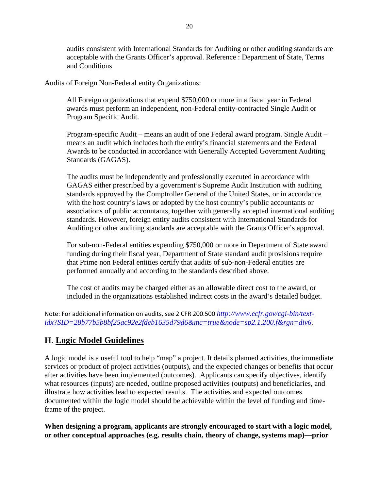audits consistent with International Standards for Auditing or other auditing standards are acceptable with the Grants Officer's approval. Reference : Department of State, Terms and Conditions

Audits of Foreign Non-Federal entity Organizations:

All Foreign organizations that expend \$750,000 or more in a fiscal year in Federal awards must perform an independent, non-Federal entity-contracted Single Audit or Program Specific Audit.

Program-specific Audit – means an audit of one Federal award program. Single Audit – means an audit which includes both the entity's financial statements and the Federal Awards to be conducted in accordance with Generally Accepted Government Auditing Standards (GAGAS).

The audits must be independently and professionally executed in accordance with GAGAS either prescribed by a government's Supreme Audit Institution with auditing standards approved by the Comptroller General of the United States, or in accordance with the host country's laws or adopted by the host country's public accountants or associations of public accountants, together with generally accepted international auditing standards. However, foreign entity audits consistent with International Standards for Auditing or other auditing standards are acceptable with the Grants Officer's approval.

For sub-non-Federal entities expending \$750,000 or more in Department of State award funding during their fiscal year, Department of State standard audit provisions require that Prime non Federal entities certify that audits of sub-non-Federal entities are performed annually and according to the standards described above.

The cost of audits may be charged either as an allowable direct cost to the award, or included in the organizations established indirect costs in the award's detailed budget.

Note: For additional information on audits, see 2 CFR 200.500 *[http://www.ecfr.gov/cgi-bin/text](http://www.ecfr.gov/cgi-bin/text-idx?SID=28b77b5b8bf25ac92e2fdeb1635d79d6&mc=true&node=sp2.1.200.f&rgn=div6)[idx?SID=28b77b5b8bf25ac92e2fdeb1635d79d6&mc=true&node=sp2.1.200.f&rgn=div6](http://www.ecfr.gov/cgi-bin/text-idx?SID=28b77b5b8bf25ac92e2fdeb1635d79d6&mc=true&node=sp2.1.200.f&rgn=div6)*.

# <span id="page-19-0"></span>**H. Logic Model Guidelines**

A logic model is a useful tool to help "map" a project. It details planned activities, the immediate services or product of project activities (outputs), and the expected changes or benefits that occur after activities have been implemented (outcomes). Applicants can specify objectives, identify what resources (inputs) are needed, outline proposed activities (outputs) and beneficiaries, and illustrate how activities lead to expected results. The activities and expected outcomes documented within the logic model should be achievable within the level of funding and timeframe of the project.

**When designing a program, applicants are strongly encouraged to start with a logic model, or other conceptual approaches (e.g. results chain, theory of change, systems map)—prior**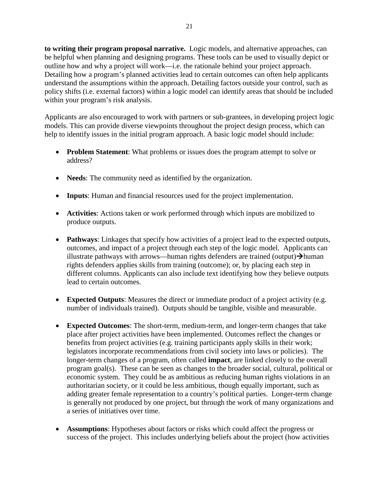**to writing their program proposal narrative.** Logic models, and alternative approaches, can be helpful when planning and designing programs. These tools can be used to visually depict or outline how and why a project will work—i.e. the rationale behind your project approach. Detailing how a program's planned activities lead to certain outcomes can often help applicants understand the assumptions within the approach. Detailing factors outside your control, such as policy shifts (i.e. external factors) within a logic model can identify areas that should be included within your program's risk analysis.

Applicants are also encouraged to work with partners or sub-grantees, in developing project logic models. This can provide diverse viewpoints throughout the project design process, which can help to identify issues in the initial program approach. A basic logic model should include:

- **Problem Statement**: What problems or issues does the program attempt to solve or address?
- **Needs**: The community need as identified by the organization.
- **Inputs**: Human and financial resources used for the project implementation.
- **Activities**: Actions taken or work performed through which inputs are mobilized to produce outputs.
- **Pathways:** Linkages that specify how activities of a project lead to the expected outputs, outcomes, and impact of a project through each step of the logic model. Applicants can illustrate pathways with arrows—human rights defenders are trained (output) $\rightarrow$ human rights defenders applies skills from training (outcome); or, by placing each step in different columns. Applicants can also include text identifying how they believe outputs lead to certain outcomes.
- **Expected Outputs**: Measures the direct or immediate product of a project activity (e.g. number of individuals trained). Outputs should be tangible, visible and measurable.
- **Expected Outcomes**: The short-term, medium-term, and longer-term changes that take place after project activities have been implemented. Outcomes reflect the changes or benefits from project activities (e.g. training participants apply skills in their work; legislators incorporate recommendations from civil society into laws or policies). The longer-term changes of a program, often called **impact**, are linked closely to the overall program goal(s). These can be seen as changes to the broader social, cultural, political or economic system. They could be as ambitious as reducing human rights violations in an authoritarian society, or it could be less ambitious, though equally important, such as adding greater female representation to a country's political parties. Longer-term change is generally not produced by one project, but through the work of many organizations and a series of initiatives over time.
- **Assumptions**: Hypotheses about factors or risks which could affect the progress or success of the project. This includes underlying beliefs about the project (how activities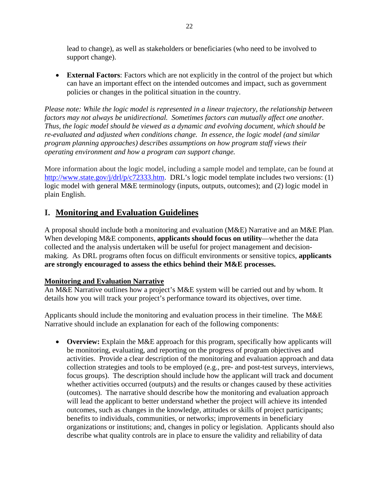lead to change), as well as stakeholders or beneficiaries (who need to be involved to support change).

• **External Factors**: Factors which are not explicitly in the control of the project but which can have an important effect on the intended outcomes and impact, such as government policies or changes in the political situation in the country.

*Please note: While the logic model is represented in a linear trajectory, the relationship between factors may not always be unidirectional. Sometimes factors can mutually affect one another. Thus, the logic model should be viewed as a dynamic and evolving document, which should be re-evaluated and adjusted when conditions change. In essence, the logic model (and similar program planning approaches) describes assumptions on how program staff views their operating environment and how a program can support change.*

More information about the logic model, including a sample model and template, can be found at [http://www.state.gov/j/drl/p/c72333.htm.](http://www.state.gov/j/drl/p/c72333.htm) DRL's logic model template includes two versions: (1) logic model with general M&E terminology (inputs, outputs, outcomes); and (2) logic model in plain English.

### <span id="page-21-0"></span>**I. Monitoring and Evaluation Guidelines**

A proposal should include both a monitoring and evaluation (M&E) Narrative and an M&E Plan. When developing M&E components, **applicants should focus on utility**—whether the data collected and the analysis undertaken will be useful for project management and decisionmaking. As DRL programs often focus on difficult environments or sensitive topics, **applicants are strongly encouraged to assess the ethics behind their M&E processes.**

### **Monitoring and Evaluation Narrative**

An M&E Narrative outlines how a project's M&E system will be carried out and by whom. It details how you will track your project's performance toward its objectives, over time.

Applicants should include the monitoring and evaluation process in their timeline. The M&E Narrative should include an explanation for each of the following components:

• **Overview:** Explain the M&E approach for this program, specifically how applicants will be monitoring, evaluating, and reporting on the progress of program objectives and activities. Provide a clear description of the monitoring and evaluation approach and data collection strategies and tools to be employed (e.g., pre- and post-test surveys, interviews, focus groups). The description should include how the applicant will track and document whether activities occurred (outputs) and the results or changes caused by these activities (outcomes). The narrative should describe how the monitoring and evaluation approach will lead the applicant to better understand whether the project will achieve its intended outcomes, such as changes in the knowledge, attitudes or skills of project participants; benefits to individuals, communities, or networks; improvements in beneficiary organizations or institutions; and, changes in policy or legislation. Applicants should also describe what quality controls are in place to ensure the validity and reliability of data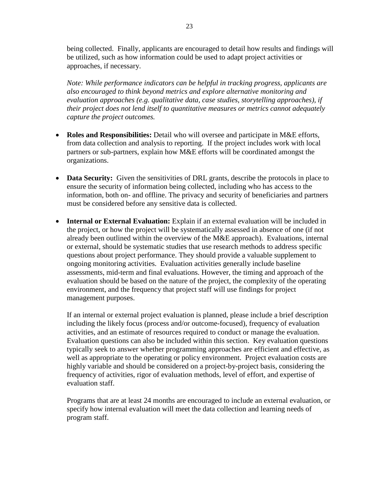being collected. Finally, applicants are encouraged to detail how results and findings will be utilized, such as how information could be used to adapt project activities or approaches, if necessary.

*Note: While performance indicators can be helpful in tracking progress, applicants are also encouraged to think beyond metrics and explore alternative monitoring and evaluation approaches (e.g. qualitative data, case studies, storytelling approaches), if their project does not lend itself to quantitative measures or metrics cannot adequately capture the project outcomes.*

- **Roles and Responsibilities:** Detail who will oversee and participate in M&E efforts, from data collection and analysis to reporting. If the project includes work with local partners or sub-partners, explain how M&E efforts will be coordinated amongst the organizations.
- **Data Security:** Given the sensitivities of DRL grants, describe the protocols in place to ensure the security of information being collected, including who has access to the information, both on- and offline. The privacy and security of beneficiaries and partners must be considered before any sensitive data is collected.
- **Internal or External Evaluation:** Explain if an external evaluation will be included in the project, or how the project will be systematically assessed in absence of one (if not already been outlined within the overview of the M&E approach). Evaluations, internal or external, should be systematic studies that use research methods to address specific questions about project performance. They should provide a valuable supplement to ongoing monitoring activities. Evaluation activities generally include baseline assessments, mid-term and final evaluations. However, the timing and approach of the evaluation should be based on the nature of the project, the complexity of the operating environment, and the frequency that project staff will use findings for project management purposes.

If an internal or external project evaluation is planned, please include a brief description including the likely focus (process and/or outcome-focused), frequency of evaluation activities, and an estimate of resources required to conduct or manage the evaluation. Evaluation questions can also be included within this section. Key evaluation questions typically seek to answer whether programming approaches are efficient and effective, as well as appropriate to the operating or policy environment. Project evaluation costs are highly variable and should be considered on a project-by-project basis, considering the frequency of activities, rigor of evaluation methods, level of effort, and expertise of evaluation staff.

Programs that are at least 24 months are encouraged to include an external evaluation, or specify how internal evaluation will meet the data collection and learning needs of program staff.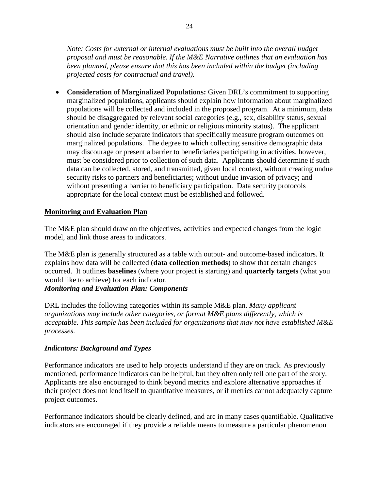*Note: Costs for external or internal evaluations must be built into the overall budget proposal and must be reasonable. If the M&E Narrative outlines that an evaluation has been planned, please ensure that this has been included within the budget (including projected costs for contractual and travel).*

• **Consideration of Marginalized Populations:** Given DRL's commitment to supporting marginalized populations, applicants should explain how information about marginalized populations will be collected and included in the proposed program. At a minimum, data should be disaggregated by relevant social categories (e.g., sex, disability status, sexual orientation and gender identity, or ethnic or religious minority status). The applicant should also include separate indicators that specifically measure program outcomes on marginalized populations. The degree to which collecting sensitive demographic data may discourage or present a barrier to beneficiaries participating in activities, however, must be considered prior to collection of such data. Applicants should determine if such data can be collected, stored, and transmitted, given local context, without creating undue security risks to partners and beneficiaries; without undue invasion of privacy; and without presenting a barrier to beneficiary participation. Data security protocols appropriate for the local context must be established and followed.

### **Monitoring and Evaluation Plan**

The M&E plan should draw on the objectives, activities and expected changes from the logic model, and link those areas to indicators.

The M&E plan is generally structured as a table with output- and outcome-based indicators. It explains how data will be collected (**data collection methods**) to show that certain changes occurred. It outlines **baselines** (where your project is starting) and **quarterly targets** (what you would like to achieve) for each indicator.

*Monitoring and Evaluation Plan: Components*

DRL includes the following categories within its sample M&E plan. *Many applicant organizations may include other categories, or format M&E plans differently, which is acceptable. This sample has been included for organizations that may not have established M&E processes.*

### *Indicators: Background and Types*

Performance indicators are used to help projects understand if they are on track. As previously mentioned, performance indicators can be helpful, but they often only tell one part of the story. Applicants are also encouraged to think beyond metrics and explore alternative approaches if their project does not lend itself to quantitative measures, or if metrics cannot adequately capture project outcomes.

Performance indicators should be clearly defined, and are in many cases quantifiable. Qualitative indicators are encouraged if they provide a reliable means to measure a particular phenomenon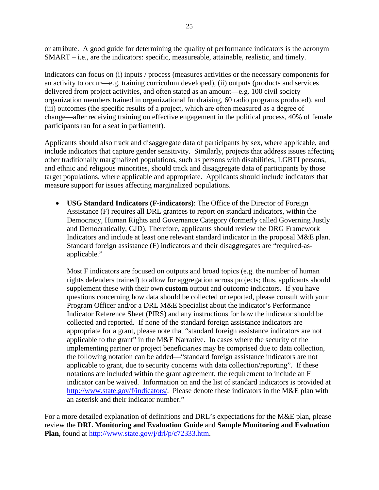or attribute. A good guide for determining the quality of performance indicators is the acronym SMART – i.e., are the indicators: specific, measureable, attainable, realistic, and timely.

Indicators can focus on (i) inputs / process (measures activities or the necessary components for an activity to occur—e.g. training curriculum developed), (ii) outputs (products and services delivered from project activities, and often stated as an amount—e.g. 100 civil society organization members trained in organizational fundraising, 60 radio programs produced), and (iii) outcomes (the specific results of a project, which are often measured as a degree of change—after receiving training on effective engagement in the political process, 40% of female participants ran for a seat in parliament).

Applicants should also track and disaggregate data of participants by sex, where applicable, and include indicators that capture gender sensitivity. Similarly, projects that address issues affecting other traditionally marginalized populations, such as persons with disabilities, LGBTI persons, and ethnic and religious minorities, should track and disaggregate data of participants by those target populations, where applicable and appropriate. Applicants should include indicators that measure support for issues affecting marginalized populations.

• **USG Standard Indicators (F-indicators)**: The Office of the Director of Foreign Assistance (F) requires all DRL grantees to report on standard indicators, within the Democracy, Human Rights and Governance Category (formerly called Governing Justly and Democratically, GJD). Therefore, applicants should review the DRG Framework Indicators and include at least one relevant standard indicator in the proposal M&E plan. Standard foreign assistance (F) indicators and their disaggregates are "required-asapplicable."

Most F indicators are focused on outputs and broad topics (e.g. the number of human rights defenders trained) to allow for aggregation across projects; thus, applicants should supplement these with their own **custom** output and outcome indicators. If you have questions concerning how data should be collected or reported, please consult with your Program Officer and/or a DRL M&E Specialist about the indicator's Performance Indicator Reference Sheet (PIRS) and any instructions for how the indicator should be collected and reported. If none of the standard foreign assistance indicators are appropriate for a grant, please note that "standard foreign assistance indicators are not applicable to the grant" in the M&E Narrative. In cases where the security of the implementing partner or project beneficiaries may be comprised due to data collection, the following notation can be added—"standard foreign assistance indicators are not applicable to grant, due to security concerns with data collection/reporting". If these notations are included within the grant agreement, the requirement to include an F indicator can be waived*.* Information on and the list of standard indicators is provided a[t](http://www.state.gov/f/indicators/) [http://www.state.gov/f/indicators/.](http://www.state.gov/f/indicators/) Please denote these indicators in the M&E plan with an asterisk and their indicator number."

For a more detailed explanation of definitions and DRL's expectations for the M&E plan, please review the **DRL Monitoring and Evaluation Guide** and **Sample Monitoring and Evaluation Plan**, found at [http://www.state.gov/j/drl/p/c72333.htm.](http://www.state.gov/j/drl/p/c72333.htm)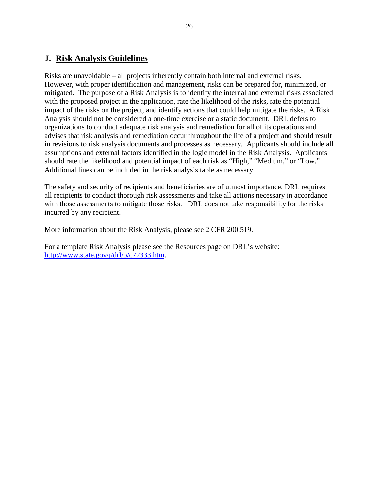### <span id="page-25-0"></span>**J. Risk Analysis Guidelines**

Risks are unavoidable – all projects inherently contain both internal and external risks. However, with proper identification and management, risks can be prepared for, minimized, or mitigated. The purpose of a Risk Analysis is to identify the internal and external risks associated with the proposed project in the application, rate the likelihood of the risks, rate the potential impact of the risks on the project, and identify actions that could help mitigate the risks. A Risk Analysis should not be considered a one-time exercise or a static document. DRL defers to organizations to conduct adequate risk analysis and remediation for all of its operations and advises that risk analysis and remediation occur throughout the life of a project and should result in revisions to risk analysis documents and processes as necessary. Applicants should include all assumptions and external factors identified in the logic model in the Risk Analysis. Applicants should rate the likelihood and potential impact of each risk as "High," "Medium," or "Low." Additional lines can be included in the risk analysis table as necessary.

The safety and security of recipients and beneficiaries are of utmost importance. DRL requires all recipients to conduct thorough risk assessments and take all actions necessary in accordance with those assessments to mitigate those risks. DRL does not take responsibility for the risks incurred by any recipient.

More information about the Risk Analysis, please see 2 CFR 200.519.

For a template Risk Analysis please see the Resources page on DRL's website: [http://www.state.gov/j/drl/p/c72333.htm.](http://www.state.gov/j/drl/p/c72333.htm)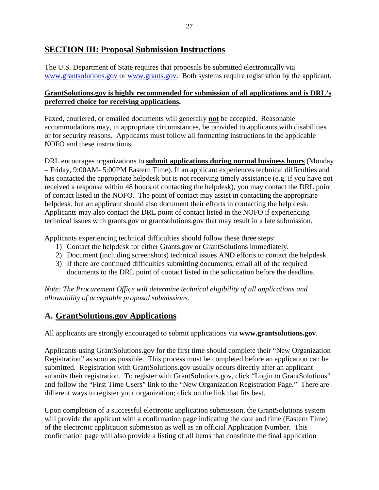### <span id="page-26-0"></span>**SECTION III: Proposal Submission Instructions**

The U.S. Department of State requires that proposals be submitted electronically via [www.grantsolutions.gov](http://www.grantsolutions.gov/) or [www.grants.gov.](http://www.grants.gov/) Both systems require registration by the applicant.

### **GrantSolutions.gov is highly recommended for submission of all applications and is DRL's preferred choice for receiving applications.**

Faxed, couriered, or emailed documents will generally **not** be accepted. Reasonable accommodations may, in appropriate circumstances, be provided to applicants with disabilities or for security reasons. Applicants must follow all formatting instructions in the applicable NOFO and these instructions.

DRL encourages organizations to **submit applications during normal business hours** (Monday – Friday, 9:00AM- 5:00PM Eastern Time). If an applicant experiences technical difficulties and has contacted the appropriate helpdesk but is not receiving timely assistance (e.g. if you have not received a response within 48 hours of contacting the helpdesk), you may contact the DRL point of contact listed in the NOFO. The point of contact may assist in contacting the appropriate helpdesk, but an applicant should also document their efforts in contacting the help desk. Applicants may also contact the DRL point of contact listed in the NOFO if experiencing technical issues with grants.gov or grantsolutions.gov that may result in a late submission.

Applicants experiencing technical difficulties should follow these three steps:

- 1) Contact the helpdesk for either Grants.gov or GrantSolutions immediately.
- 2) Document (including screenshots) technical issues AND efforts to contact the helpdesk.
- 3) If there are continued difficulties submitting documents, email all of the required documents to the DRL point of contact listed in the solicitation before the deadline.

*Note: The Procurement Office will determine technical eligibility of all applications and allowability of acceptable proposal submissions.* 

# <span id="page-26-1"></span>**A. GrantSolutions.gov Applications**

All applicants are strongly encouraged to submit applications via **[www.grantsolutions.gov](http://www.grantsolutions.gov/)**.

Applicants using GrantSolutions.gov for the first time should complete their "New Organization Registration" as soon as possible. This process must be completed before an application can be submitted. Registration with GrantSolutions.gov usually occurs directly after an applicant submits their registration. To register with GrantSolutions.gov, click "Login to GrantSolutions" and follow the "First Time Users" link to the "New Organization Registration Page." There are different ways to register your organization; click on the link that fits best.

Upon completion of a successful electronic application submission, the GrantSolutions system will provide the applicant with a confirmation page indicating the date and time (Eastern Time) of the electronic application submission as well as an official Application Number. This confirmation page will also provide a listing of all items that constitute the final application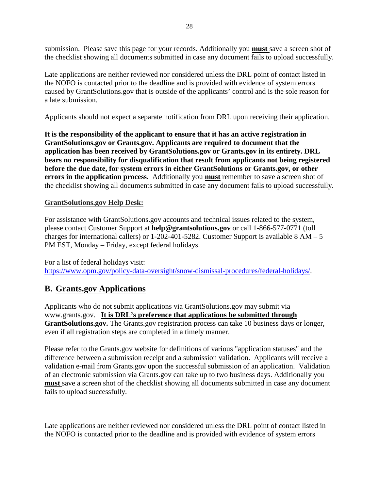submission. Please save this page for your records. Additionally you **must** save a screen shot of the checklist showing all documents submitted in case any document fails to upload successfully.

Late applications are neither reviewed nor considered unless the DRL point of contact listed in the NOFO is contacted prior to the deadline and is provided with evidence of system errors caused by GrantSolutions.gov that is outside of the applicants' control and is the sole reason for a late submission.

Applicants should not expect a separate notification from DRL upon receiving their application.

**It is the responsibility of the applicant to ensure that it has an active registration in GrantSolutions.gov or Grants.gov. Applicants are required to document that the application has been received by GrantSolutions.gov or Grants.gov in its entirety. DRL bears no responsibility for disqualification that result from applicants not being registered before the due date, for system errors in either GrantSolutions or Grants.gov, or other errors in the application process.** Additionally you **must** remember to save a screen shot of the checklist showing all documents submitted in case any document fails to upload successfully.

#### **GrantSolutions.gov Help Desk:**

For assistance with GrantSolutions.gov accounts and technical issues related to the system, please contact Customer Support at **[help@grantsolutions.gov](mailto:help@grantsolutions.gov)** or call 1-866-577-0771 (toll charges for international callers) or 1-202-401-5282. Customer Support is available  $8 AM - 5$ PM EST, Monday – Friday, except federal holidays.

For a list of federal holidays visit: [https://www.opm.gov/policy-data-oversight/snow-dismissal-procedures/federal-holidays/.](https://www.opm.gov/policy-data-oversight/snow-dismissal-procedures/federal-holidays/)

### <span id="page-27-0"></span>**B. Grants.gov Applications**

Applicants who do not submit applications via GrantSolutions.gov may submit via [www.grants.gov.](http://www.grants.gov/) **It is DRL's preference that applications be submitted through GrantSolutions.gov.** The Grants.gov registration process can take 10 business days or longer, even if all registration steps are completed in a timely manner.

Please refer to the Grants.gov website for definitions of various "application statuses" and the difference between a submission receipt and a submission validation. Applicants will receive a validation e-mail from Grants.gov upon the successful submission of an application. Validation of an electronic submission via Grants.gov can take up to two business days. Additionally you **must** save a screen shot of the checklist showing all documents submitted in case any document fails to upload successfully.

Late applications are neither reviewed nor considered unless the DRL point of contact listed in the NOFO is contacted prior to the deadline and is provided with evidence of system errors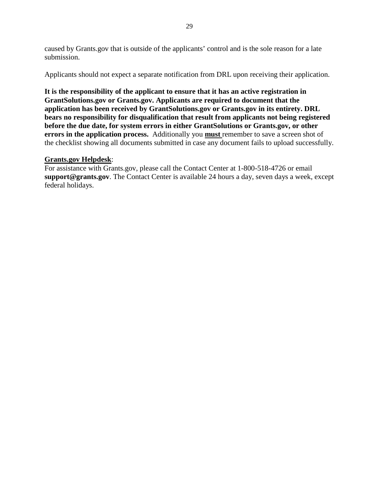caused by Grants.gov that is outside of the applicants' control and is the sole reason for a late submission.

Applicants should not expect a separate notification from DRL upon receiving their application.

**It is the responsibility of the applicant to ensure that it has an active registration in GrantSolutions.gov or Grants.gov. Applicants are required to document that the application has been received by GrantSolutions.gov or Grants.gov in its entirety. DRL bears no responsibility for disqualification that result from applicants not being registered before the due date, for system errors in either GrantSolutions or Grants.gov, or other errors in the application process.** Additionally you **must** remember to save a screen shot of the checklist showing all documents submitted in case any document fails to upload successfully.

#### **Grants.gov Helpdesk**:

For assistance with Grants.gov, please call the Contact Center at 1-800-518-4726 or email **[support@grants.gov](mailto:support@grants.gov)**. The Contact Center is available 24 hours a day, seven days a week, except federal holidays.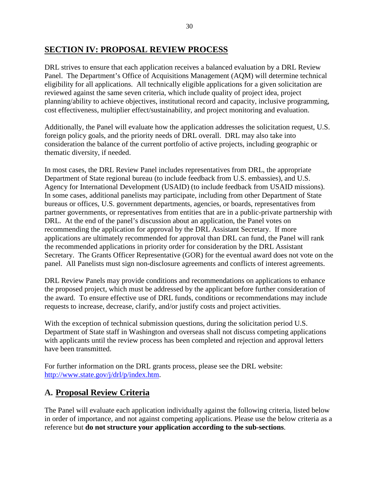### <span id="page-29-0"></span>**SECTION IV: PROPOSAL REVIEW PROCESS**

DRL strives to ensure that each application receives a balanced evaluation by a DRL Review Panel. The Department's Office of Acquisitions Management (AQM) will determine technical eligibility for all applications. All technically eligible applications for a given solicitation are reviewed against the same seven criteria, which include quality of project idea, project planning/ability to achieve objectives, institutional record and capacity, inclusive programming, cost effectiveness, multiplier effect/sustainability, and project monitoring and evaluation.

Additionally, the Panel will evaluate how the application addresses the solicitation request, U.S. foreign policy goals, and the priority needs of DRL overall. DRL may also take into consideration the balance of the current portfolio of active projects, including geographic or thematic diversity, if needed.

In most cases, the DRL Review Panel includes representatives from DRL, the appropriate Department of State regional bureau (to include feedback from U.S. embassies), and U.S. Agency for International Development (USAID) (to include feedback from USAID missions). In some cases, additional panelists may participate, including from other Department of State bureaus or offices, U.S. government departments, agencies, or boards, representatives from partner governments, or representatives from entities that are in a public-private partnership with DRL. At the end of the panel's discussion about an application, the Panel votes on recommending the application for approval by the DRL Assistant Secretary. If more applications are ultimately recommended for approval than DRL can fund, the Panel will rank the recommended applications in priority order for consideration by the DRL Assistant Secretary. The Grants Officer Representative (GOR) for the eventual award does not vote on the panel. All Panelists must sign non-disclosure agreements and conflicts of interest agreements.

DRL Review Panels may provide conditions and recommendations on applications to enhance the proposed project, which must be addressed by the applicant before further consideration of the award. To ensure effective use of DRL funds, conditions or recommendations may include requests to increase, decrease, clarify, and/or justify costs and project activities.

With the exception of technical submission questions, during the solicitation period U.S. Department of State staff in Washington and overseas shall not discuss competing applications with applicants until the review process has been completed and rejection and approval letters have been transmitted.

For further information on the DRL grants process, please see the DRL website: [http://www.state.gov/j/drl/p/index.htm.](http://www.state.gov/j/drl/p/index.htm)

# <span id="page-29-1"></span>**A. Proposal Review Criteria**

The Panel will evaluate each application individually against the following criteria, listed below in order of importance, and not against competing applications. Please use the below criteria as a reference but **do not structure your application according to the sub-sections**.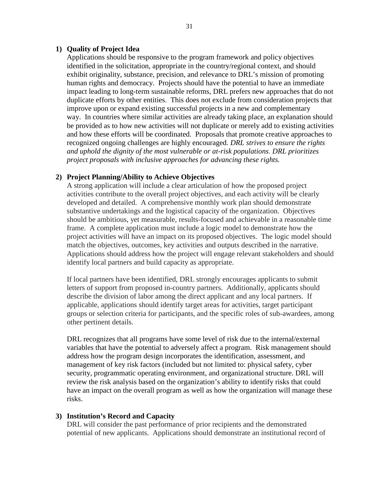#### **1) Quality of Project Idea**

Applications should be responsive to the program framework and policy objectives identified in the solicitation, appropriate in the country/regional context, and should exhibit originality, substance, precision, and relevance to DRL's mission of promoting human rights and democracy. Projects should have the potential to have an immediate impact leading to long-term sustainable reforms, DRL prefers new approaches that do not duplicate efforts by other entities. This does not exclude from consideration projects that improve upon or expand existing successful projects in a new and complementary way. In countries where similar activities are already taking place, an explanation should be provided as to how new activities will not duplicate or merely add to existing activities and how these efforts will be coordinated. Proposals that promote creative approaches to recognized ongoing challenges are highly encouraged. *DRL strives to ensure the rights and uphold the dignity of the most vulnerable or at-risk populations. DRL prioritizes project proposals with inclusive approaches for advancing these rights.*

#### **2) Project Planning/Ability to Achieve Objectives**

A strong application will include a clear articulation of how the proposed project activities contribute to the overall project objectives, and each activity will be clearly developed and detailed. A comprehensive monthly work plan should demonstrate substantive undertakings and the logistical capacity of the organization. Objectives should be ambitious, yet measurable, results-focused and achievable in a reasonable time frame. A complete application must include a logic model to demonstrate how the project activities will have an impact on its proposed objectives. The logic model should match the objectives, outcomes, key activities and outputs described in the narrative. Applications should address how the project will engage relevant stakeholders and should identify local partners and build capacity as appropriate.

If local partners have been identified, DRL strongly encourages applicants to submit letters of support from proposed in-country partners. Additionally, applicants should describe the division of labor among the direct applicant and any local partners. If applicable, applications should identify target areas for activities, target participant groups or selection criteria for participants, and the specific roles of sub-awardees, among other pertinent details.

DRL recognizes that all programs have some level of risk due to the internal/external variables that have the potential to adversely affect a program. Risk management should address how the program design incorporates the identification, assessment, and management of key risk factors (included but not limited to: physical safety, cyber security, programmatic operating environment, and organizational structure. DRL will review the risk analysis based on the organization's ability to identify risks that could have an impact on the overall program as well as how the organization will manage these risks.

#### **3) Institution's Record and Capacity**

DRL will consider the past performance of prior recipients and the demonstrated potential of new applicants. Applications should demonstrate an institutional record of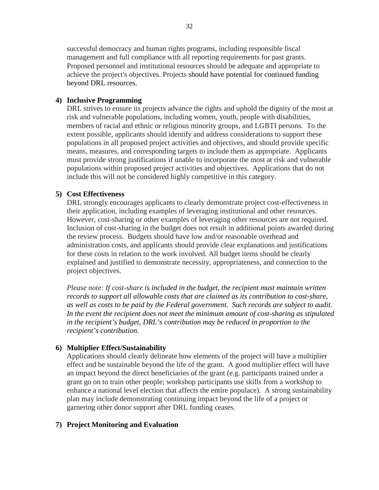successful democracy and human rights programs, including responsible fiscal management and full compliance with all reporting requirements for past grants. Proposed personnel and institutional resources should be adequate and appropriate to achieve the project's objectives. Projects should have potential for continued funding beyond DRL resources.

#### **4) Inclusive Programming**

DRL strives to ensure its projects advance the rights and uphold the dignity of the most at risk and vulnerable populations, including women, youth, people with disabilities, members of racial and ethnic or religious minority groups, and LGBTI persons. To the extent possible, applicants should identify and address considerations to support these populations in all proposed project activities and objectives, and should provide specific means, measures, and corresponding targets to include them as appropriate. Applicants must provide strong justifications if unable to incorporate the most at risk and vulnerable populations within proposed project activities and objectives. Applications that do not include this will not be considered highly competitive in this category.

#### **5) Cost Effectiveness**

DRL strongly encourages applicants to clearly demonstrate project cost-effectiveness in their application, including examples of leveraging institutional and other resources. However, cost-sharing or other examples of leveraging other resources are not required. Inclusion of cost-sharing in the budget does not result in additional points awarded during the review process. Budgets should have low and/or reasonable overhead and administration costs, and applicants should provide clear explanations and justifications for these costs in relation to the work involved. All budget items should be clearly explained and justified to demonstrate necessity, appropriateness, and connection to the project objectives.

*Please note: If cost-share is included in the budget, the recipient must maintain written records to support all allowable costs that are claimed as its contribution to cost-share, as well as costs to be paid by the Federal government. Such records are subject to audit. In the event the recipient does not meet the minimum amount of cost-sharing as stipulated in the recipient's budget, DRL's contribution may be reduced in proportion to the recipient's contribution.*

#### **6) Multiplier Effect/Sustainability**

Applications should clearly delineate how elements of the project will have a multiplier effect and be sustainable beyond the life of the grant. A good multiplier effect will have an impact beyond the direct beneficiaries of the grant (e.g. participants trained under a grant go on to train other people; workshop participants use skills from a workshop to enhance a national level election that affects the entire populace). A strong sustainability plan may include demonstrating continuing impact beyond the life of a project or garnering other donor support after DRL funding ceases.

#### **7) Project Monitoring and Evaluation**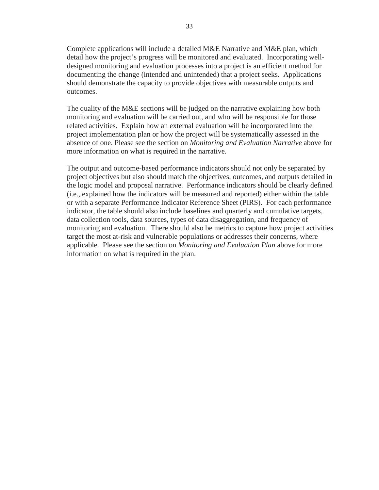Complete applications will include a detailed M&E Narrative and M&E plan, which detail how the project's progress will be monitored and evaluated. Incorporating welldesigned monitoring and evaluation processes into a project is an efficient method for documenting the change (intended and unintended) that a project seeks. Applications should demonstrate the capacity to provide objectives with measurable outputs and outcomes.

The quality of the M&E sections will be judged on the narrative explaining how both monitoring and evaluation will be carried out, and who will be responsible for those related activities. Explain how an external evaluation will be incorporated into the project implementation plan or how the project will be systematically assessed in the absence of one. Please see the section on *Monitoring and Evaluation Narrative* above for more information on what is required in the narrative.

The output and outcome-based performance indicators should not only be separated by project objectives but also should match the objectives, outcomes, and outputs detailed in the logic model and proposal narrative. Performance indicators should be clearly defined (i.e., explained how the indicators will be measured and reported) either within the table or with a separate Performance Indicator Reference Sheet (PIRS). For each performance indicator, the table should also include baselines and quarterly and cumulative targets, data collection tools, data sources, types of data disaggregation, and frequency of monitoring and evaluation. There should also be metrics to capture how project activities target the most at-risk and vulnerable populations or addresses their concerns, where applicable. Please see the section on *Monitoring and Evaluation Plan* above for more information on what is required in the plan.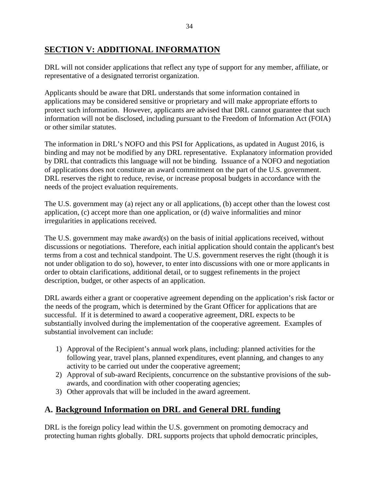# <span id="page-33-0"></span>**SECTION V: ADDITIONAL INFORMATION**

DRL will not consider applications that reflect any type of support for any member, affiliate, or representative of a designated terrorist organization.

Applicants should be aware that DRL understands that some information contained in applications may be considered sensitive or proprietary and will make appropriate efforts to protect such information. However, applicants are advised that DRL cannot guarantee that such information will not be disclosed, including pursuant to the Freedom of Information Act (FOIA) or other similar statutes.

The information in DRL's NOFO and this PSI for Applications, as updated in August 2016, is binding and may not be modified by any DRL representative. Explanatory information provided by DRL that contradicts this language will not be binding. Issuance of a NOFO and negotiation of applications does not constitute an award commitment on the part of the U.S. government. DRL reserves the right to reduce, revise, or increase proposal budgets in accordance with the needs of the project evaluation requirements.

The U.S. government may (a) reject any or all applications, (b) accept other than the lowest cost application, (c) accept more than one application, or (d) waive informalities and minor irregularities in applications received.

The U.S. government may make award(s) on the basis of initial applications received, without discussions or negotiations. Therefore, each initial application should contain the applicant's best terms from a cost and technical standpoint. The U.S. government reserves the right (though it is not under obligation to do so), however, to enter into discussions with one or more applicants in order to obtain clarifications, additional detail, or to suggest refinements in the project description, budget, or other aspects of an application.

DRL awards either a grant or cooperative agreement depending on the application's risk factor or the needs of the program, which is determined by the Grant Officer for applications that are successful. If it is determined to award a cooperative agreement, DRL expects to be substantially involved during the implementation of the cooperative agreement. Examples of substantial involvement can include:

- 1) Approval of the Recipient's annual work plans, including: planned activities for the following year, travel plans, planned expenditures, event planning, and changes to any activity to be carried out under the cooperative agreement;
- 2) Approval of sub-award Recipients, concurrence on the substantive provisions of the subawards, and coordination with other cooperating agencies;
- 3) Other approvals that will be included in the award agreement.

# <span id="page-33-1"></span>**A. Background Information on DRL and General DRL funding**

DRL is the foreign policy lead within the U.S. government on promoting democracy and protecting human rights globally. DRL supports projects that uphold democratic principles,